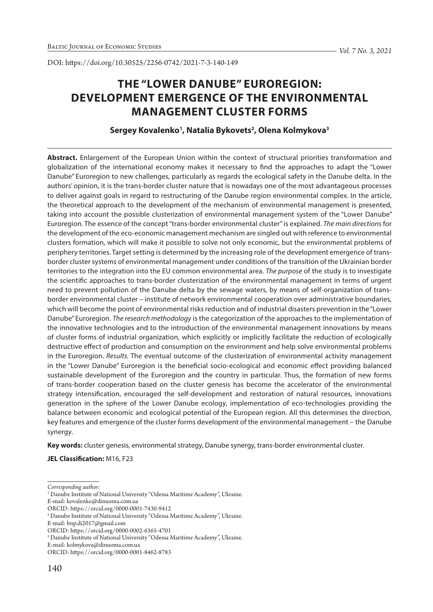DOI: https://doi.org/10.30525/2256-0742/2021-7-3-140-149

# **THE "LOWER DANUBE" EUROREGION: DEVELOPMENT EMERGENCE OF THE ENVIRONMENTAL MANAGEMENT CLUSTER FORMS**

# **Sergey Kovalenko1 , Natalia Bykovets2 , Olena Kolmykova3**

**Abstract.** Enlargement of the European Union within the context of structural priorities transformation and globalization of the international economy makes it necessary to find the approaches to adapt the "Lower Danube" Euroregion to new challenges, particularly as regards the ecological safety in the Danube delta. In the authors' opinion, it is the trans-border cluster nature that is nowadays one of the most advantageous processes to deliver against goals in regard to restructuring of the Danube region environmental complex. In the article, the theoretical approach to the development of the mechanism of environmental management is presented, taking into account the possible clusterization of environmental management system of the "Lower Danube" Euroregion. The essence of the concept "trans-border environmental cluster" is explained. *The main directions* for the development of the eco-economic management mechanism are singled out with reference to environmental clusters formation, which will make it possible to solve not only economic, but the environmental problems of periphery territories. Target setting is determined by the increasing role of the development emergence of transborder cluster systems of environmental management under conditions of the transition of the Ukrainian border territories to the integration into the EU common environmental area. *The purpose* of the study is to investigate the scientific approaches to trans-border clusterization of the environmental management in terms of urgent need to prevent pollution of the Danube delta by the sewage waters, by means of self-organization of transborder environmental cluster – institute of network environmental cooperation over administrative boundaries, which will become the point of environmental risks reduction and of industrial disasters prevention in the "Lower Danube" Euroregion. *The research methodology* is the categorization of the approaches to the implementation of the innovative technologies and to the introduction of the environmental management innovations by means of cluster forms of industrial organization, which explicitly or implicitly facilitate the reduction of ecologically destructive effect of production and consumption on the environment and help solve environmental problems in the Euroregion. *Results.* The eventual outcome of the clusterization of environmental activity management in the "Lower Danube" Euroregion is the beneficial socio-ecological and economic effect providing balanced sustainable development of the Euroregion and the country in particular. Thus, the formation of new forms of trans-border cooperation based on the cluster genesis has become the accelerator of the environmental strategy intensification, encouraged the self-development and restoration of natural resources, innovations generation in the sphere of the Lower Danube ecology, implementation of eco-technologies providing the balance between economic and ecological potential of the European region. All this determines the direction, key features and emergence of the cluster forms development of the environmental management – the Danube synergy.

**Key words:** cluster genesis, environmental strategy, Danube synergy, trans-border environmental cluster.

**JEL Classification:** M16, F23

*Corresponding author:*

<sup>&</sup>lt;sup>1</sup> Danube Institute of National University "Odessa Maritime Academy", Ukraine.

E-mail: kovalenko@dinuoma.com.ua ORCID: https://orcid.org/0000-0001-7430-9412

<sup>2</sup> Danube Institute of National University "Odessa Maritime Academy", Ukraine.

E-mail: bnp.di2017@gmail.com

ORCID: https://orcid.org/0000-0002-6365-4701

<sup>3</sup> Danube Institute of National University "Odessa Maritime Academy", Ukraine.

E-mail: kolmykova@dinuoma.com.ua

ORCID: https://orcid.org/0000-0001-8462-8783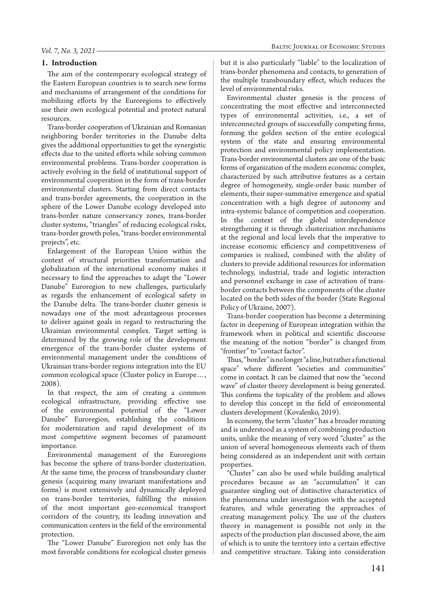#### *Vol. 7, No. 3, 2021*

### **1. Introduction**

The aim of the contemporary ecological strategy of the Eastern European countries is to search new forms and mechanisms of arrangement of the conditions for mobilizing efforts by the Euroregions to effectively use their own ecological potential and protect natural resources.

Trans-border cooperation of Ukrainian and Romanian neighboring border territories in the Danube delta gives the additional opportunities to get the synergistic effects due to the united efforts while solving common environmental problems. Trans-border cooperation is actively evolving in the field of institutional support of environmental cooperation in the form of trans-border environmental clusters. Starting from direct contacts and trans-border agreements, the cooperation in the sphere of the Lower Danube ecology developed into trans-border nature conservancy zones, trans-border cluster systems, "triangles" of reducing ecological risks, trans-border growth poles, "trans-border environmental projects", etc.

Enlargement of the European Union within the context of structural priorities transformation and globalization of the international economy makes it necessary to find the approaches to adapt the "Lower Danube" Euroregion to new challenges, particularly as regards the enhancement of ecological safety in the Danube delta. The trans-border cluster genesis is nowadays one of the most advantageous processes to deliver against goals in regard to restructuring the Ukrainian environmental complex. Target setting is determined by the growing role of the development emergence of the trans-border cluster systems of environmental management under the conditions of Ukrainian trans-border regions integration into the EU common ecological space (Cluster policy in Europe…, 2008).

In that respect, the aim of creating a common ecological infrastructure, providing effective use of the environmental potential of the "Lower Danube" Euroregion, establishing the conditions for modernization and rapid development of its most competitive segment becomes of paramount importance.

Environmental management of the Euroregions has become the sphere of trans-border clusterization. At the same time, the process of transboundary cluster genesis (acquiring many invariant manifestations and forms) is most extensively and dynamically deployed on trans-border territories, fulfilling the mission of the most important geo-economical transport corridors of the country, its leading innovation and communication centers in the field of the environmental protection.

The "Lower Danube" Euroregion not only has the most favorable conditions for ecological cluster genesis

but it is also particularly "liable" to the localization of trans-border phenomena and contacts, to generation of the multiple transboundary effect, which reduces the level of environmental risks.

Environmental cluster genesis is the process of concentrating the most effective and interconnected types of environmental activities, i.e., a set of interconnected groups of successfully competing firms, forming the golden section of the entire ecological system of the state and ensuring environmental protection and environmental policy implementation. Trans-border environmental clusters are one of the basic forms of organization of the modern economic complex, characterized by such attributive features as a certain degree of homogeneity, single-order basic number of elements, their super-summative emergence and spatial concentration with a high degree of autonomy and intra-systemic balance of competition and cooperation. In the context of the global interdependence strengthening it is through clusterization mechanisms at the regional and local levels that the imperative to increase economic efficiency and competitiveness of companies is realized, combined with the ability of clusters to provide additional resources for information technology, industrial, trade and logistic interaction and personnel exchange in case of activation of transborder contacts between the components of the cluster located on the both sides of the border (State Regional Policy of Ukraine, 2007).

Trans-border cooperation has become a determining factor in deepening of European integration within the framework when in political and scientific discourse the meaning of the notion "border" is changed from "frontier" to "contact factor".

Thus, "border" is no longer "a line, but rather a functional space" where different "societies and communities" come in contact. It can be claimed that now the "second wave" of cluster theory development is being generated. This confirms the topicality of the problem and allows to develop this concept in the field of environmental clusters development (Kovalenko, 2019).

In economy, the term "cluster" has a broader meaning and is understood as a system of combining production units, unlike the meaning of very word "cluster" as the union of several homogeneous elements each of them being considered as an independent unit with certain properties.

"Cluster" can also be used while building analytical procedures because as an "accumulation" it can guarantee singling out of distinctive characteristics of the phenomena under investigation with the accepted features, and while generating the approaches of creating management policy. The use of the clusters theory in management is possible not only in the aspects of the production plan discussed above, the aim of which is to unite the territory into a certain effective and competitive structure. Taking into consideration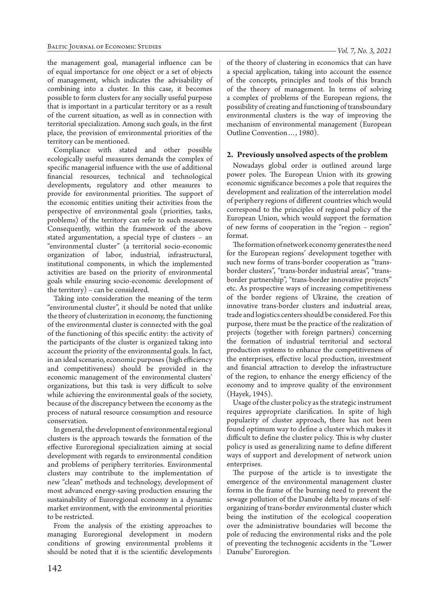the management goal, managerial influence can be of equal importance for one object or a set of objects of management, which indicates the advisability of combining into a cluster. In this case, it becomes possible to form clusters for any socially useful purpose that is important in a particular territory or as a result of the current situation, as well as in connection with territorial specialization. Among such goals, in the first place, the provision of environmental priorities of the territory can be mentioned.

Compliance with stated and other possible ecologically useful measures demands the complex of specific managerial influence with the use of additional financial resources, technical and technological developments, regulatory and other measures to provide for environmental priorities. The support of the economic entities uniting their activities from the perspective of environmental goals (priorities, tasks, problems) of the territory can refer to such measures. Consequently, within the framework of the above stated argumentation, a special type of clusters – an "environmental cluster" (a territorial socio-economic organization of labor, industrial, infrastructural, institutional components, in which the implemented activities are based on the priority of environmental goals while ensuring socio-economic development of the territory) – can be considered.

Taking into consideration the meaning of the term "environmental cluster", it should be noted that unlike the theory of clusterization in economy, the functioning of the environmental cluster is connected with the goal of the functioning of this specific entity: the activity of the participants of the cluster is organized taking into account the priority of the environmental goals. In fact, in an ideal scenario, economic purposes (high efficiency and competitiveness) should be provided in the economic management of the environmental clusters' organizations, but this task is very difficult to solve while achieving the environmental goals of the society, because of the discrepancy between the economy as the process of natural resource consumption and resource conservation.

In general, the development of environmental regional clusters is the approach towards the formation of the effective Euroregional specialization aiming at social development with regards to environmental condition and problems of periphery territories. Environmental clusters may contribute to the implementation of new "clean" methods and technology, development of most advanced energy-saving production ensuring the sustainability of Euroregional economy in a dynamic market environment, with the environmental priorities to be restricted.

From the analysis of the existing approaches to managing Euroregional development in modern conditions of growing environmental problems it should be noted that it is the scientific developments of the theory of clustering in economics that can have a special application, taking into account the essence of the concepts, principles and tools of this branch of the theory of management. In terms of solving a complex of problems of the European regions, the possibility of creating and functioning of transboundary environmental clusters is the way of improving the mechanism of environmental management (European Outline Convention…, 1980).

# **2. Previously unsolved aspects of the problem**

Nowadays global order is outlined around large power poles. The European Union with its growing economic significance becomes a pole that requires the development and realization of the interrelation model of periphery regions of different countries which would correspond to the principles of regional policy of the European Union, which would support the formation of new forms of cooperation in the "region – region" format.

The formation of network economy generates the need for the European regions' development together with such new forms of trans-border cooperation as "transborder clusters", "trans-border industrial areas", "transborder partnership", "trans-border innovative projects" etc. As prospective ways of increasing competitiveness of the border regions of Ukraine, the creation of innovative trans-border clusters and industrial areas, trade and logistics centers should be considered. For this purpose, there must be the practice of the realization of projects (together with foreign partners) concerning the formation of industrial territorial and sectoral production systems to enhance the competitiveness of the enterprises, effective local production, investment and financial attraction to develop the infrastructure of the region, to enhance the energy efficiency of the economy and to improve quality of the environment (Hayek, 1945).

Usage of the cluster policy as the strategic instrument requires appropriate clarification. In spite of high popularity of cluster approach, there has not been found optimum way to define a cluster which makes it difficult to define the cluster policy. This is why cluster policy is used as generalizing name to define different ways of support and development of network union enterprises.

The purpose of the article is to investigate the emergence of the environmental management cluster forms in the frame of the burning need to prevent the sewage pollution of the Danube delta by means of selforganizing of trans-border environmental cluster which being the institution of the ecological cooperation over the administrative boundaries will become the pole of reducing the environmental risks and the pole of preventing the technogenic accidents in the "Lower Danube" Euroregion.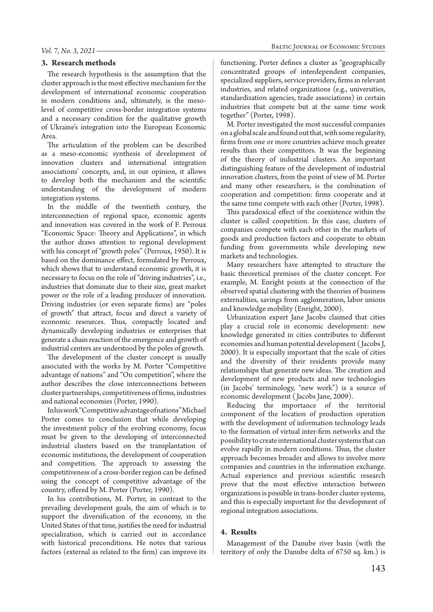#### *Vol. 7, No. 3, 2021*

## **3. Research methods**

The research hypothesis is the assumption that the cluster approach is the most effective mechanism for the development of international economic cooperation in modern conditions and, ultimately, is the mesolevel of competitive cross-border integration systems and a necessary condition for the qualitative growth of Ukraine's integration into the European Economic Area.

The articulation of the problem can be described as a meso-economic synthesis of development of innovation clusters and international integration associations' concepts, and, in our opinion, it allows to develop both the mechanism and the scientific understanding of the development of modern integration systems.

In the middle of the twentieth century, the interconnection of regional space, economic agents and innovation was covered in the work of F. Perroux "Economic Space: Theory and Applications", in which the author draws attention to regional development with his concept of "growth poles" (Perroux, 1950). It is based on the dominance effect, formulated by Perroux, which shows that to understand economic growth, it is necessary to focus on the role of "driving industries", i.e., industries that dominate due to their size, great market power or the role of a leading producer of innovation. Driving industries (or even separate firms) are "poles of growth" that attract, focus and direct a variety of economic resources. Thus, compactly located and dynamically developing industries or enterprises that generate a chain reaction of the emergence and growth of industrial centers are understood by the poles of growth.

The development of the cluster concept is usually associated with the works by M. Porter "Competitive advantage of nations" and "On competition", where the author describes the close interconnections between cluster partnerships, competitiveness of firms, industries and national economies (Porter, 1990).

In his work "Competitive advantage of nations" Michael Porter comes to conclusion that while developing the investment policy of the evolving economy, focus must be given to the developing of interconnected industrial clusters based on the transplantation of economic institutions, the development of cooperation and competition. The approach to assessing the competitiveness of a cross-border region can be defined using the concept of competitive advantage of the country, offered by M. Porter (Porter, 1990).

In his contributions, M. Porter, in contrast to the prevailing development goals, the aim of which is to support the diversification of the economy, in the United States of that time, justifies the need for industrial specialization, which is carried out in accordance with historical preconditions. He notes that various factors (external as related to the firm) can improve its functioning. Porter defines a cluster as "geographically concentrated groups of interdependent companies, specialized suppliers, service providers, firms in relevant industries, and related organizations (e.g., universities, standardization agencies, trade associations) in certain industries that compete but at the same time work together" (Porter, 1998).

M. Porter investigated the most successful companies on a global scale and found out that, with some regularity, firms from one or more countries achieve much greater results than their competitors. It was the beginning of the theory of industrial clusters. An important distinguishing feature of the development of industrial innovation clusters, from the point of view of M. Porter and many other researchers, is the combination of cooperation and competition: firms cooperate and at the same time compete with each other (Porter, 1998).

This paradoxical effect of the coexistence within the cluster is called coopetition. In this case, clusters of companies compete with each other in the markets of goods and production factors and cooperate to obtain funding from governments while developing new markets and technologies.

Many researchers have attempted to structure the basic theoretical premises of the cluster concept. For example, M. Enright points at the connection of the observed spatial clustering with the theories of business externalities, savings from agglomeration, labor unions and knowledge mobility (Enright, 2000).

Urbanization expert Jane Jacobs claimed that cities play a crucial role in economic development: new knowledge generated in cities contributes to different economies and human potential development ( Jacobs J, 2000). It is especially important that the scale of cities and the diversity of their residents provide many relationships that generate new ideas. The creation and development of new products and new technologies (in Jacobs' terminology, "new work") is a source of economic development ( Jacobs Jane, 2009).

Reducing the importance of the territorial component of the location of production operation with the development of information technology leads to the formation of virtual inter-firm networks and the possibility to create international cluster systems that can evolve rapidly in modern conditions. Thus, the cluster approach becomes broader and allows to involve more companies and countries in the information exchange. Actual experience and previous scientific research prove that the most effective interaction between organizations is possible in trans-border cluster systems, and this is especially important for the development of regional integration associations.

## **4. Results**

Management of the Danube river basin (with the territory of only the Danube delta of 6750 sq. km.) is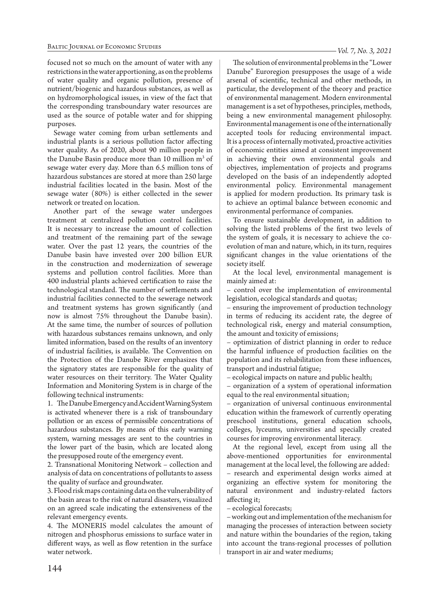focused not so much on the amount of water with any restrictions in the water apportioning, as on the problems of water quality and organic pollution, presence of nutrient/biogenic and hazardous substances, as well as on hydromorphological issues, in view of the fact that the corresponding transboundary water resources are used as the source of potable water and for shipping purposes.

Sewage water coming from urban settlements and industrial plants is a serious pollution factor affecting water quality. As of 2020, about 90 million people in the Danube Basin produce more than 10 million m<sup>3</sup> of sewage water every day. More than 6.5 million tons of hazardous substances are stored at more than 250 large industrial facilities located in the basin. Most of the sewage water (80%) is either collected in the sewer network or treated on location.

Another part of the sewage water undergoes treatment at centralized pollution control facilities. It is necessary to increase the amount of collection and treatment of the remaining part of the sewage water. Over the past 12 years, the countries of the Danube basin have invested over 200 billion EUR in the construction and modernization of sewerage systems and pollution control facilities. More than 400 industrial plants achieved certification to raise the technological standard. The number of settlements and industrial facilities connected to the sewerage network and treatment systems has grown significantly (and now is almost 75% throughout the Danube basin). At the same time, the number of sources of pollution with hazardous substances remains unknown, and only limited information, based on the results of an inventory of industrial facilities, is available. The Convention on the Protection of the Danube River emphasizes that the signatory states are responsible for the quality of water resources on their territory. The Water Quality Information and Monitoring System is in charge of the following technical instruments:

1. The Danube Emergency and Accident Warning System is activated whenever there is a risk of transboundary pollution or an excess of permissible concentrations of hazardous substances. By means of this early warning system, warning messages are sent to the countries in the lower part of the basin, which are located along the presupposed route of the emergency event.

2. Transnational Monitoring Network – collection and analysis of data on concentrations of pollutants to assess the quality of surface and groundwater.

3. Flood risk maps containing data on the vulnerability of the basin areas to the risk of natural disasters, visualized on an agreed scale indicating the extensiveness of the relevant emergency events.

4. The MONERIS model calculates the amount of nitrogen and phosphorus emissions to surface water in different ways, as well as flow retention in the surface water network.

The solution of environmental problems in the "Lower Danube" Euroregion presupposes the usage of a wide arsenal of scientific, technical and other methods, in particular, the development of the theory and practice of environmental management. Modern environmental management is a set of hypotheses, principles, methods, being a new environmental management philosophy. Environmental management is one of the internationally accepted tools for reducing environmental impact. It is a process of internally motivated, proactive activities of economic entities aimed at consistent improvement in achieving their own environmental goals and objectives, implementation of projects and programs developed on the basis of an independently adopted environmental policy. Environmental management is applied for modern production. Its primary task is to achieve an optimal balance between economic and environmental performance of companies.

To ensure sustainable development, in addition to solving the listed problems of the first two levels of the system of goals, it is necessary to achieve the coevolution of man and nature, which, in its turn, requires significant changes in the value orientations of the society itself.

At the local level, environmental management is mainly aimed at:

– control over the implementation of environmental legislation, ecological standards and quotas;

– ensuring the improvement of production technology in terms of reducing its accident rate, the degree of technological risk, energy and material consumption, the amount and toxicity of emissions;

– optimization of district planning in order to reduce the harmful influence of production facilities on the population and its rehabilitation from these influences, transport and industrial fatigue;

– ecological impacts on nature and public health;

– organization of a system of operational information equal to the real environmental situation;

– organization of universal continuous environmental education within the framework of currently operating preschool institutions, general education schools, colleges, lyceums, universities and specially created courses for improving environmental literacy.

At the regional level, except from using all the above-mentioned opportunities for environmental management at the local level, the following are added: – research and experimental design works aimed at organizing an effective system for monitoring the natural environment and industry-related factors affecting it;

– ecological forecasts;

– working out and implementation of the mechanism for managing the processes of interaction between society and nature within the boundaries of the region, taking into account the trans-regional processes of pollution transport in air and water mediums;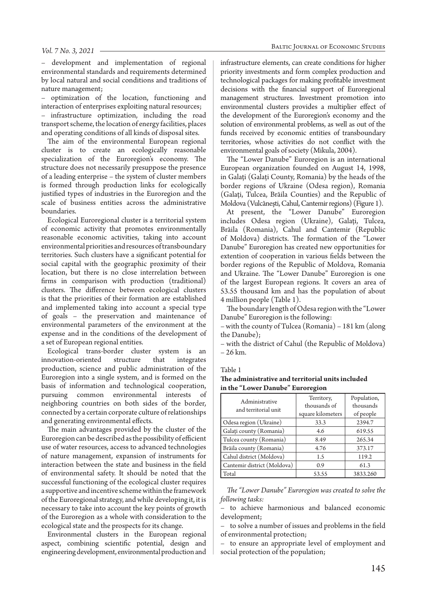– development and implementation of regional environmental standards and requirements determined by local natural and social conditions and traditions of nature management;

– optimization of the location, functioning and interaction of enterprises exploiting natural resources; – infrastructure optimization, including the road transport scheme, the location of energy facilities, places and operating conditions of all kinds of disposal sites.

The aim of the environmental European regional cluster is to create an ecologically reasonable specialization of the Euroregion's economy. The structure does not necessarily presuppose the presence of a leading enterprise – the system of cluster members is formed through production links for ecologically justified types of industries in the Euroregion and the scale of business entities across the administrative boundaries.

Ecological Euroregional cluster is a territorial system of economic activity that promotes environmentally reasonable economic activities, taking into account environmental priorities and resources of transboundary territories. Such clusters have a significant potential for social capital with the geographic proximity of their location, but there is no close interrelation between firms in comparison with production (traditional) clusters. The difference between ecological clusters is that the priorities of their formation are established and implemented taking into account a special type of goals – the preservation and maintenance of environmental parameters of the environment at the expense and in the conditions of the development of a set of European regional entities.

Ecological trans-border cluster system is an innovation-oriented structure that integrates production, science and public administration of the Euroregion into a single system, and is formed on the basis of information and technological cooperation, pursuing common environmental interests of neighboring countries on both sides of the border, connected by a certain corporate culture of relationships and generating environmental effects.

The main advantages provided by the cluster of the Euroregion can be described as the possibility of efficient use of water resources, access to advanced technologies of nature management, expansion of instruments for interaction between the state and business in the field of environmental safety. It should be noted that the successful functioning of the ecological cluster requires a supportive and incentive scheme within the framework of the Euroregional strategy, and while developing it, it is necessary to take into account the key points of growth of the Euroregion as a whole with consideration to the ecological state and the prospects for its change.

Environmental clusters in the European regional aspect, combining scientific potential, design and engineering development, environmental production and

infrastructure elements, can create conditions for higher priority investments and form complex production and technological packages for making profitable investment decisions with the financial support of Euroregional management structures. Investment promotion into environmental clusters provides a multiplier effect of the development of the Euroregion's economy and the solution of environmental problems, as well as out of the funds received by economic entities of transboundary territories, whose activities do not conflict with the environmental goals of society (Mikula, 2004).

The "Lower Danube" Euroregion is an international European organization founded on August 14, 1998, in Galaţi (Galaţi County, Romania) by the heads of the border regions of Ukraine (Odesa region), Romania (Galaţi, Tulcea, Brăila Counties) and the Republic of Moldova (Vulcăneşti, Cahul, Cantemir regions) (Figure 1).

At present, the "Lower Danube" Euroregion includes Odesa region (Ukraine), Galaţi, Tulcea, Brăila (Romania), Cahul and Cantemir (Republic of Moldova) districts. The formation of the "Lower Danube" Euroregion has created new opportunities for extention of cooperation in various fields between the border regions of the Republic of Moldova, Romania and Ukraine. The "Lower Danube" Euroregion is one of the largest European regions. It covers an area of 53.55 thousand km and has the population of about 4 million people (Table 1).

The boundary length of Odesa region with the "Lower Danube" Euroregion is the following:

– with the county of Tulcea (Romania) – 181 km (along the Danube);

– with the district of Cahul (the Republic of Moldova) – 26 km.

Table 1

**The administrative and territorial units included in the "Lower Danube" Euroregion**

| Administrative<br>and territorial unit | Territory,<br>thousands of<br>square kilometers | Population,<br>thousands<br>of people |
|----------------------------------------|-------------------------------------------------|---------------------------------------|
| Odesa region (Ukraine)                 | 33.3                                            | 2394.7                                |
| Galați county (Romania)                | 4.6                                             | 619.55                                |
| Tulcea county (Romania)                | 8.49                                            | 265.34                                |
| Brăila county (Romania)                | 4.76                                            | 373.17                                |
| Cahul district (Moldova)               | 1.5                                             | 119.2                                 |
| Cantemir district (Moldova)            | 0.9                                             | 61.3                                  |
| Total                                  | 53.55                                           | 3833.260                              |

*The "Lower Danube" Euroregion was created to solve the following tasks:* 

– to achieve harmonious and balanced economic development;

– to solve a number of issues and problems in the field of environmental protection;

– to ensure an appropriate level of employment and social protection of the population;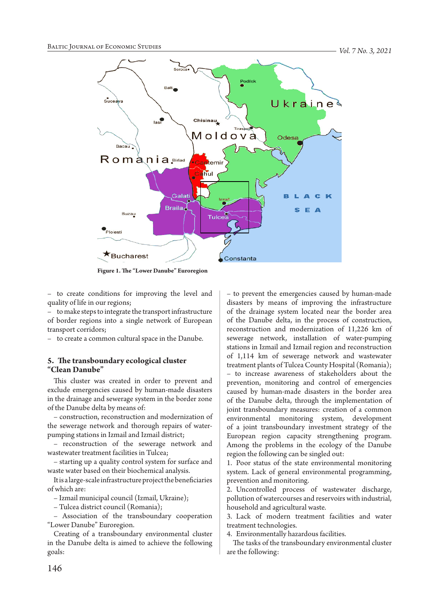

**Figure 1. The "Lower Danube" Euroregion**

– to create conditions for improving the level and quality of life in our regions;

– to make steps to integrate the transport infrastructure of border regions into a single network of European transport corridors;

– to create a common cultural space in the Danube.

## **5. The transboundary ecological cluster "Clean Danube"**

This cluster was created in order to prevent and exclude emergencies caused by human-made disasters in the drainage and sewerage system in the border zone of the Danube delta by means of:

– construction, reconstruction and modernization of the sewerage network and thorough repairs of waterpumping stations in Izmail and Izmail district;

– reconstruction of the sewerage network and wastewater treatment facilities in Tulcea;

– starting up a quality control system for surface and waste water based on their biochemical analysis.

It is a large-scale infrastructure project the beneficiaries of which are:

– Izmail municipal council (Izmail, Ukraine);

– Tulcea district council (Romania);

– Association of the transboundary cooperation "Lower Danube" Euroregion.

Creating of a transboundary environmental cluster in the Danube delta is aimed to achieve the following goals:

– to prevent the emergencies caused by human-made disasters by means of improving the infrastructure of the drainage system located near the border area of the Danube delta, in the process of construction, reconstruction and modernization of 11,226 km of sewerage network, installation of water-pumping stations in Izmail and Izmail region and reconstruction of 1,114 km of sewerage network and wastewater treatment plants of Tulcea County Hospital (Romania); – to increase awareness of stakeholders about the prevention, monitoring and control of emergencies caused by human-made disasters in the border area of the Danube delta, through the implementation of joint transboundary measures: creation of a common environmental monitoring system, development of a joint transboundary investment strategy of the European region capacity strengthening program. Among the problems in the ecology of the Danube region the following can be singled out:

1. Poor status of the state environmental monitoring system. Lack of general environmental programming, prevention and monitoring.

2. Uncontrolled process of wastewater discharge, pollution of watercourses and reservoirs with industrial, household and agricultural waste.

3. Lack of modern treatment facilities and water treatment technologies.

4. Environmentally hazardous facilities.

The tasks of the transboundary environmental cluster are the following: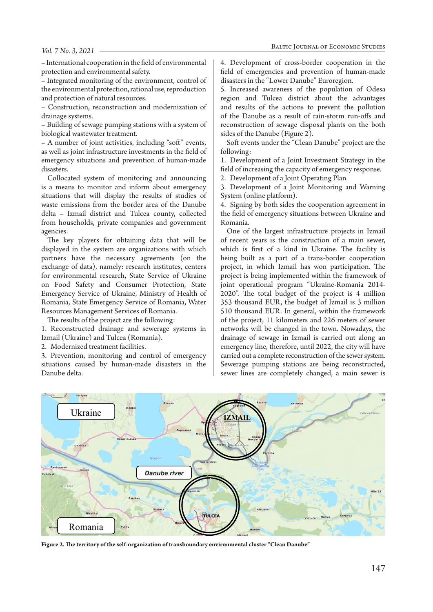– International cooperation in the field of environmental protection and environmental safety.

– Integrated monitoring of the environment, control of the environmental protection, rational use, reproduction and protection of natural resources.

– Construction, reconstruction and modernization of drainage systems.

– Building of sewage pumping stations with a system of biological wastewater treatment.

– A number of joint activities, including "soft" events, as well as joint infrastructure investments in the field of emergency situations and prevention of human-made disasters.

Collocated system of monitoring and announcing is a means to monitor and inform about emergency situations that will display the results of studies of waste emissions from the border area of the Danube delta – Izmail district and Tulcea county, collected from households, private companies and government agencies.

The key players for obtaining data that will be displayed in the system are organizations with which partners have the necessary agreements (on the exchange of data), namely: research institutes, centers for environmental research, State Service of Ukraine on Food Safety and Consumer Protection, State Emergency Service of Ukraine, Ministry of Health of Romania, State Emergency Service of Romania, Water Resources Management Services of Romania.

The results of the project are the following:

1. Reconstructed drainage and sewerage systems in Izmail (Ukraine) and Tulcea (Romania).

2. Modernized treatment facilities.

3. Prevention, monitoring and control of emergency situations caused by human-made disasters in the Danube delta.

4. Development of cross-border cooperation in the field of emergencies and prevention of human-made disasters in the "Lower Danube" Euroregion.

5. Increased awareness of the population of Odesa region and Tulcea district about the advantages and results of the actions to prevent the pollution of the Danube as a result of rain-storm run-offs and reconstruction of sewage disposal plants on the both sides of the Danube (Figure 2).

Soft events under the "Clean Danube" project are the following:

1. Development of a Joint Investment Strategy in the field of increasing the capacity of emergency response.

2. Development of a Joint Operating Plan.

3. Development of a Joint Monitoring and Warning System (online platform).

4. Signing by both sides the cooperation agreement in the field of emergency situations between Ukraine and Romania.

One of the largest infrastructure projects in Izmail of recent years is the construction of a main sewer, which is first of a kind in Ukraine. The facility is being built as a part of a trans-border cooperation project, in which Izmail has won participation. The project is being implemented within the framework of joint operational program "Ukraine-Romania 2014- 2020". The total budget of the project is 4 million 353 thousand EUR, the budget of Izmail is 3 million 510 thousand EUR. In general, within the framework of the project, 11 kilometers and 226 meters of sewer networks will be changed in the town. Nowadays, the drainage of sewage in Izmail is carried out along an emergency line, therefore, until 2022, the city will have carried out a complete reconstruction of the sewer system. Sewerage pumping stations are being reconstructed, sewer lines are completely changed, a main sewer is



**Figure 2. The territory of the self-organization of transboundary environmental cluster "Clean Danube"**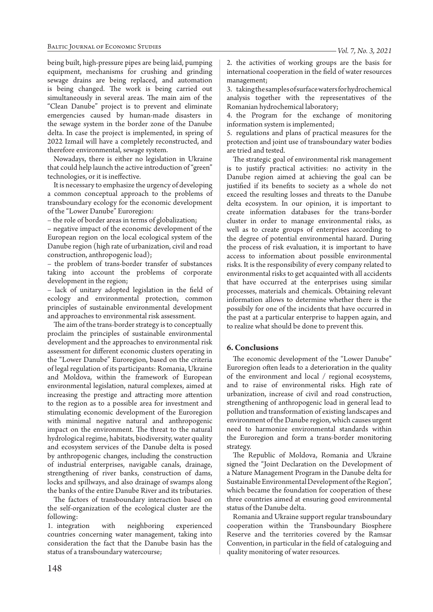*Vol. 7, No. 3, 2021*

being built, high-pressure pipes are being laid, pumping equipment, mechanisms for crushing and grinding sewage drains are being replaced, and automation is being changed. The work is being carried out simultaneously in several areas. The main aim of the "Clean Danube" project is to prevent and eliminate emergencies caused by human-made disasters in the sewage system in the border zone of the Danube delta. In case the project is implemented, in spring of 2022 Izmail will have a completely reconstructed, and therefore environmental, sewage system.

Nowadays, there is either no legislation in Ukraine that could help launch the active introduction of "green" technologies, or it is ineffective.

It is necessary to emphasize the urgency of developing a common conceptual approach to the problems of transboundary ecology for the economic development of the "Lower Danube" Euroregion:

– the role of border areas in terms of globalization;

– negative impact of the economic development of the European region on the local ecological system of the Danube region (high rate of urbanization, civil and road construction, anthropogenic load);

– the problem of trans-border transfer of substances taking into account the problems of corporate development in the region;

– lack of unitary adopted legislation in the field of ecology and environmental protection, common principles of sustainable environmental development and approaches to environmental risk assessment.

The aim of the trans-border strategy is to conceptually proclaim the principles of sustainable environmental development and the approaches to environmental risk assessment for different economic clusters operating in the "Lower Danube" Euroregion, based on the criteria of legal regulation of its participants: Romania, Ukraine and Moldova, within the framework of European environmental legislation, natural complexes, aimed at increasing the prestige and attracting more attention to the region as to a possible area for investment and stimulating economic development of the Euroregion with minimal negative natural and anthropogenic impact on the environment. The threat to the natural hydrological regime, habitats, biodiversity, water quality and ecosystem services of the Danube delta is posed by anthropogenic changes, including the construction of industrial enterprises, navigable canals, drainage, strengthening of river banks, construction of dams, locks and spillways, and also drainage of swamps along the banks of the entire Danube River and its tributaries.

The factors of transboundary interaction based on the self-organization of the ecological cluster are the following:

1. integration with neighboring experienced countries concerning water management, taking into consideration the fact that the Danube basin has the status of a transboundary watercourse;

2. the activities of working groups are the basis for international cooperation in the field of water resources management;

3. taking the samples of surface waters for hydrochemical analysis together with the representatives of the Romanian hydrochemical laboratory;

4. the Program for the exchange of monitoring information system is implemented;

5. regulations and plans of practical measures for the protection and joint use of transboundary water bodies are tried and tested.

The strategic goal of environmental risk management is to justify practical activities: no activity in the Danube region aimed at achieving the goal can be justified if its benefits to society as a whole do not exceed the resulting losses and threats to the Danube delta ecosystem. In our opinion, it is important to create information databases for the trans-border cluster in order to manage environmental risks, as well as to create groups of enterprises according to the degree of potential environmental hazard. During the process of risk evaluation, it is important to have access to information about possible environmental risks. It is the responsibility of every company related to environmental risks to get acquainted with all accidents that have occurred at the enterprises using similar processes, materials and chemicals. Obtaining relevant information allows to determine whether there is the possibily for one of the incidents that have occurred in the past at a particular enterprise to happen again, and to realize what should be done to prevent this.

# **6. Conclusions**

The economic development of the "Lower Danube" Euroregion often leads to a deterioration in the quality of the environment and local / regional ecosystems, and to raise of environmental risks. High rate of urbanization, increase of civil and road construction, strengthening of anthropogenic load in general lead to pollution and transformation of existing landscapes and environment of the Danube region, which causes urgent need to harmonize environmental standards within the Euroregion and form a trans-border monitoring strategy.

The Republic of Moldova, Romania and Ukraine signed the "Joint Declaration on the Development of a Nature Management Program in the Danube delta for Sustainable Environmental Development of the Region", which became the foundation for cooperation of these three countries aimed at ensuring good environmental status of the Danube delta.

Romania and Ukraine support regular transboundary cooperation within the Transboundary Biosphere Reserve and the territories covered by the Ramsar Convention, in particular in the field of cataloguing and quality monitoring of water resources.